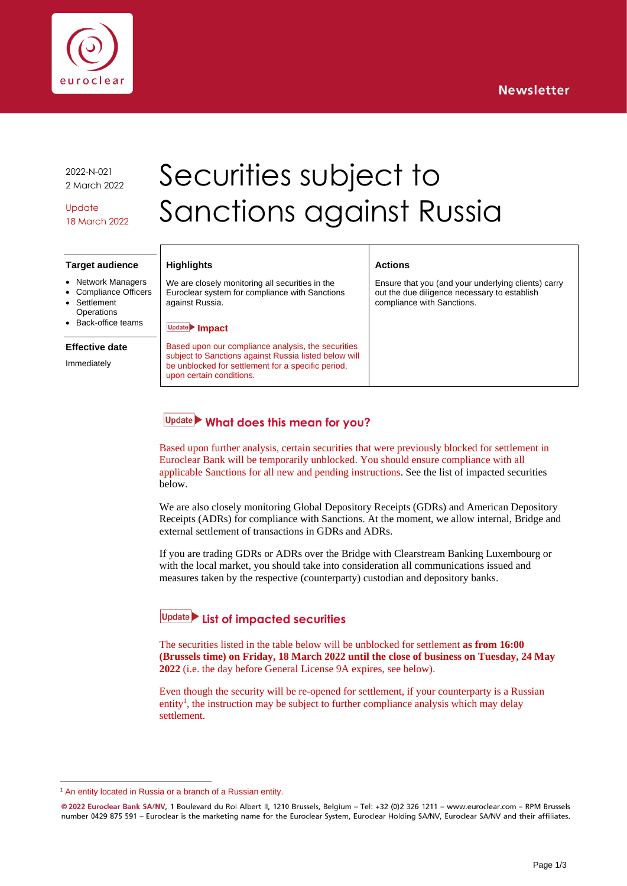



2022-N-021 2 March 2022

Update 18 March 2022

# Securities subject to Sanctions against Russia

### **Target audience**

- **Network Managers**
- Compliance Officers **Settlement**
- **Operations**
- Back-office teams

#### **Effective date**

Immediately

#### **Highlights**

We are closely monitoring all securities in the Euroclear system for compliance with Sanctions against Russia.

#### **Impact**

Based upon our compliance analysis, the securities subject to Sanctions against Russia listed below will be unblocked for settlement for a specific period, upon certain conditions.

## **Actions**

Ensure that you (and your underlying clients) carry out the due diligence necessary to establish compliance with Sanctions.

# **What does this mean for you?**

Based upon further analysis, certain securities that were previously blocked for settlement in Euroclear Bank will be temporarily unblocked. You should ensure compliance with all applicable Sanctions for all new and pending instructions. See the list of impacted securities below.

We are also closely monitoring Global Depository Receipts (GDRs) and American Depository Receipts (ADRs) for compliance with Sanctions. At the moment, we allow internal, Bridge and external settlement of transactions in GDRs and ADRs.

If you are trading GDRs or ADRs over the Bridge with Clearstream Banking Luxembourg or with the local market, you should take into consideration all communications issued and measures taken by the respective (counterparty) custodian and depository banks.

# **List of impacted securities**

The securities listed in the table below will be unblocked for settlement **as from 16:00 (Brussels time) on Friday, 18 March 2022 until the close of business on Tuesday, 24 May 2022** (i.e. the day before General License 9A expires, see below).

Even though the security will be re-opened for settlement, if your counterparty is a Russian entity<sup>1</sup>, the instruction may be subject to further compliance analysis which may delay settlement.

<sup>&</sup>lt;sup>1</sup> An entity located in Russia or a branch of a Russian entity.

<sup>@ 2022</sup> Euroclear Bank SA/NV, 1 Boulevard du Roi Albert II, 1210 Brussels, Belgium - Tel: +32 (0)2 326 1211 - www.euroclear.com - RPM Brussels number 0429 875 591 - Euroclear is the marketing name for the Euroclear System, Euroclear Holding SA/NV, Euroclear SA/NV and their affiliates.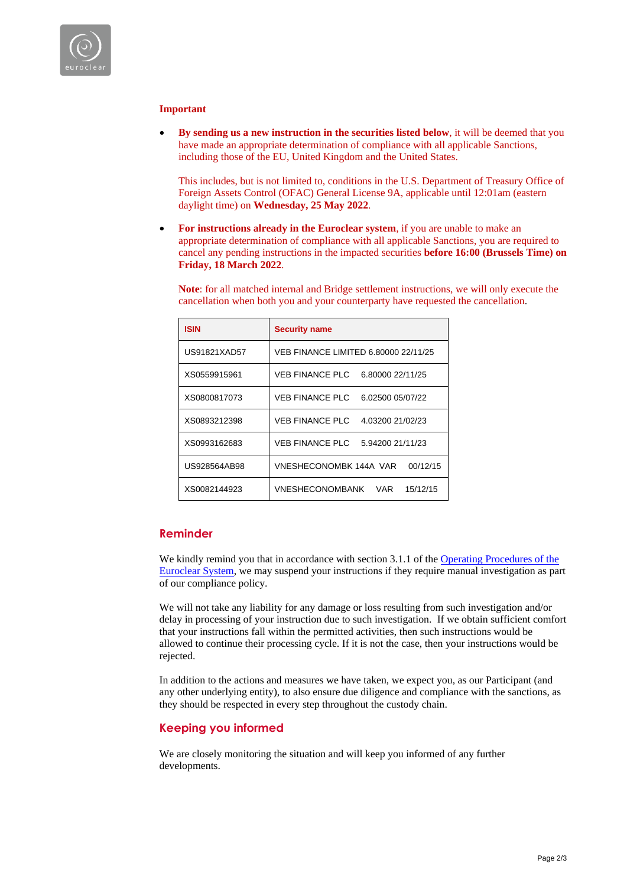

## **Important**

• **By sending us a new instruction in the securities listed below**, it will be deemed that you have made an appropriate determination of compliance with all applicable Sanctions, including those of the EU, United Kingdom and the United States.

This includes, but is not limited to, conditions in the U.S. Department of Treasury Office of Foreign Assets Control (OFAC) General License 9A, applicable until 12:01am (eastern daylight time) on **Wednesday, 25 May 2022**.

• **For instructions already in the Euroclear system**, if you are unable to make an appropriate determination of compliance with all applicable Sanctions, you are required to cancel any pending instructions in the impacted securities **before 16:00 (Brussels Time) on Friday, 18 March 2022**.

**Note**: for all matched internal and Bridge settlement instructions, we will only execute the cancellation when both you and your counterparty have requested the cancellation.

| <b>ISIN</b>  | <b>Security name</b>                       |
|--------------|--------------------------------------------|
| US91821XAD57 | VEB FINANCE LIMITED 6.80000 22/11/25       |
| XS0559915961 | <b>VEB FINANCE PLC</b><br>6.80000 22/11/25 |
| XS0800817073 | <b>VEB FINANCE PLC</b><br>6.02500 05/07/22 |
| XS0893212398 | VEB FINANCE PLC<br>4.03200 21/02/23        |
| XS0993162683 | <b>VEB FINANCE PLC</b><br>5.94200 21/11/23 |
| US928564AB98 | <b>VNESHECONOMBK 144A VAR</b><br>00/12/15  |
| XS0082144923 | <b>VNESHECONOMBANK</b><br>15/12/15<br>VAR  |

## **Reminder**

We kindly remind you that in accordance with section 3.1.1 of the Operating Procedures of the [Euroclear System,](https://my.euroclear.com/content/dam/euroclear/Operational/EB/Legal%20information/Operating%20procedures/public/LG001-Operating-procedures-of-the-Euroclear-system.pdf) we may suspend your instructions if they require manual investigation as part of our compliance policy.

We will not take any liability for any damage or loss resulting from such investigation and/or delay in processing of your instruction due to such investigation. If we obtain sufficient comfort that your instructions fall within the permitted activities, then such instructions would be allowed to continue their processing cycle. If it is not the case, then your instructions would be rejected.

In addition to the actions and measures we have taken, we expect you, as our Participant (and any other underlying entity), to also ensure due diligence and compliance with the sanctions, as they should be respected in every step throughout the custody chain.

## **Keeping you informed**

We are closely monitoring the situation and will keep you informed of any further developments.